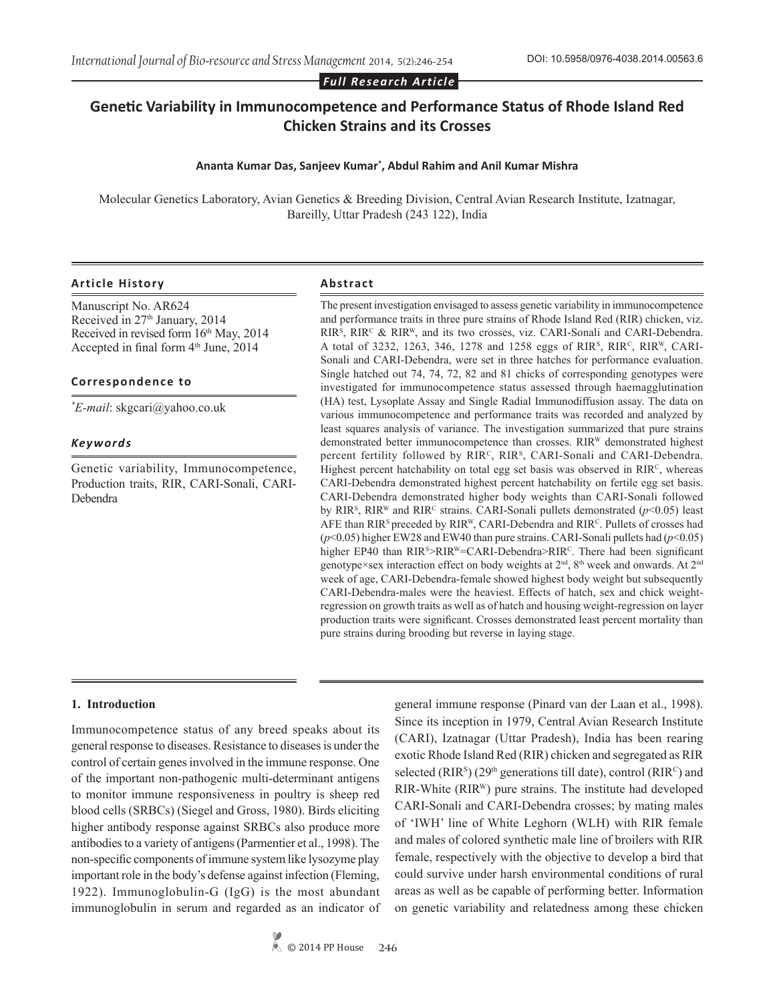*Full Research Article*

# **Genetic Variability in Immunocompetence and Performance Status of Rhode Island Red Chicken Strains and its Crosses**

# **Ananta Kumar Das, Sanjeev Kumar\* , Abdul Rahim and Anil Kumar Mishra**

Molecular Genetics Laboratory, Avian Genetics & Breeding Division, Central Avian Research Institute, Izatnagar, Bareilly, Uttar Pradesh (243 122), India

#### **Article History Abstract**

Manuscript No. AR624 Received in 27<sup>th</sup> January, 2014 Received in revised form  $16<sup>th</sup>$  May, 2014 Accepted in final form 4<sup>th</sup> June, 2014

#### **Correspondence to**

*\* E-mail*: skgcari@yahoo.co.uk

#### *Keywords*

Genetic variability, Immunocompetence, Production traits, RIR, CARI-Sonali, CARI-Debendra

The present investigation envisaged to assess genetic variability in immunocompetence and performance traits in three pure strains of Rhode Island Red (RIR) chicken, viz.  $RIR<sup>s</sup>$ ,  $RIR<sup>c</sup>$  &  $RIR<sup>w</sup>$ , and its two crosses, viz. CARI-Sonali and CARI-Debendra. A total of 3232, 1263, 346, 1278 and 1258 eggs of RIR<sup>s</sup>, RIR<sup>c</sup>, RIR<sup>W</sup>, CARI-Sonali and CARI-Debendra, were set in three hatches for performance evaluation. Single hatched out 74, 74, 72, 82 and 81 chicks of corresponding genotypes were investigated for immunocompetence status assessed through haemagglutination (HA) test, Lysoplate Assay and Single Radial Immunodiffusion assay. The data on various immunocompetence and performance traits was recorded and analyzed by least squares analysis of variance. The investigation summarized that pure strains demonstrated better immunocompetence than crosses. RIR<sup>W</sup> demonstrated highest percent fertility followed by RIR<sup>C</sup>, RIR<sup>S</sup>, CARI-Sonali and CARI-Debendra. Highest percent hatchability on total egg set basis was observed in RIR<sup>C</sup>, whereas CARI-Debendra demonstrated highest percent hatchability on fertile egg set basis. CARI-Debendra demonstrated higher body weights than CARI-Sonali followed by RIR<sup>S</sup>, RIR<sup>W</sup> and RIR<sup>C</sup> strains. CARI-Sonali pullets demonstrated ( $p$ <0.05) least AFE than  $RIR<sup>S</sup>$  preceded by  $RIR<sup>W</sup>$ , CARI-Debendra and  $RIR<sup>C</sup>$ . Pullets of crosses had (*p*<0.05) higher EW28 and EW40 than pure strains. CARI-Sonali pullets had (*p*<0.05) higher EP40 than RIR<sup>S</sup>>RIR<sup>W</sup>=CARI-Debendra>RIR<sup>c</sup>. There had been significant genotype×sex interaction effect on body weights at 2nd, 8th week and onwards. At 2nd week of age, CARI-Debendra-female showed highest body weight but subsequently CARI-Debendra-males were the heaviest. Effects of hatch, sex and chick weightregression on growth traits as well as of hatch and housing weight-regression on layer production traits were significant. Crosses demonstrated least percent mortality than pure strains during brooding but reverse in laying stage.

# **1. Introduction**

Immunocompetence status of any breed speaks about its general response to diseases. Resistance to diseases is under the control of certain genes involved in the immune response. One of the important non-pathogenic multi-determinant antigens to monitor immune responsiveness in poultry is sheep red blood cells (SRBCs) (Siegel and Gross, 1980). Birds eliciting higher antibody response against SRBCs also produce more antibodies to a variety of antigens (Parmentier et al., 1998). The non-specific components of immune system like lysozyme play important role in the body's defense against infection (Fleming, 1922). Immunoglobulin-G (IgG) is the most abundant immunoglobulin in serum and regarded as an indicator of

general immune response (Pinard van der Laan et al., 1998). Since its inception in 1979, Central Avian Research Institute (CARI), Izatnagar (Uttar Pradesh), India has been rearing exotic Rhode Island Red (RIR) chicken and segregated as RIR selected ( $RIR<sup>s</sup>$ ) (29<sup>th</sup> generations till date), control ( $RIR<sup>c</sup>$ ) and RIR-White (RIRW) pure strains. The institute had developed CARI-Sonali and CARI-Debendra crosses; by mating males of 'IWH' line of White Leghorn (WLH) with RIR female and males of colored synthetic male line of broilers with RIR female, respectively with the objective to develop a bird that could survive under harsh environmental conditions of rural areas as well as be capable of performing better. Information on genetic variability and relatedness among these chicken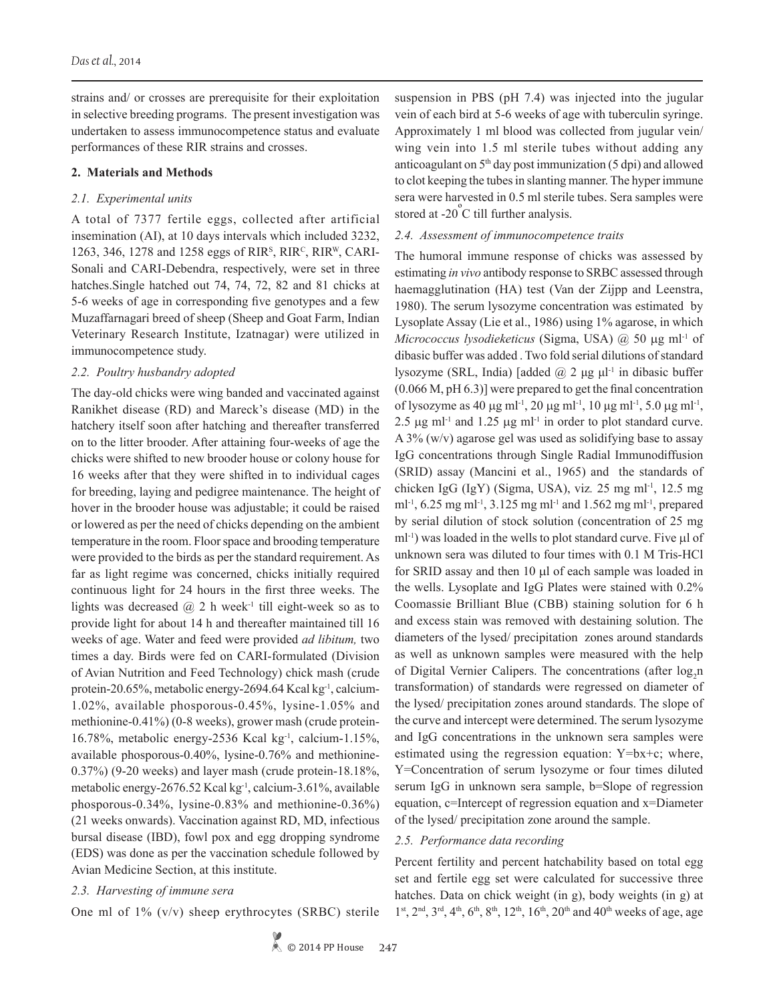strains and/ or crosses are prerequisite for their exploitation in selective breeding programs. The present investigation was undertaken to assess immunocompetence status and evaluate performances of these RIR strains and crosses.

#### **2. Materials and Methods**

# *2.1. Experimental units*

A total of 7377 fertile eggs, collected after artificial insemination (AI), at 10 days intervals which included 3232, 1263, 346, 1278 and 1258 eggs of RIR<sup>s</sup>, RIR<sup>c</sup>, RIR<sup>w</sup>, CARI-Sonali and CARI-Debendra, respectively, were set in three hatches.Single hatched out 74, 74, 72, 82 and 81 chicks at 5-6 weeks of age in corresponding five genotypes and a few Muzaffarnagari breed of sheep (Sheep and Goat Farm, Indian Veterinary Research Institute, Izatnagar) were utilized in immunocompetence study.

#### *2.2. Poultry husbandry adopted*

The day-old chicks were wing banded and vaccinated against Ranikhet disease (RD) and Mareck's disease (MD) in the hatchery itself soon after hatching and thereafter transferred on to the litter brooder. After attaining four-weeks of age the chicks were shifted to new brooder house or colony house for 16 weeks after that they were shifted in to individual cages for breeding, laying and pedigree maintenance. The height of hover in the brooder house was adjustable; it could be raised or lowered as per the need of chicks depending on the ambient temperature in the room. Floor space and brooding temperature were provided to the birds as per the standard requirement. As far as light regime was concerned, chicks initially required continuous light for 24 hours in the first three weeks. The lights was decreased  $\omega$  2 h week<sup>-1</sup> till eight-week so as to provide light for about 14 h and thereafter maintained till 16 weeks of age. Water and feed were provided *ad libitum,* two times a day. Birds were fed on CARI-formulated (Division of Avian Nutrition and Feed Technology) chick mash (crude protein-20.65%, metabolic energy-2694.64 Kcal kg<sup>-1</sup>, calcium-1.02%, available phosporous-0.45%, lysine-1.05% and methionine-0.41%) (0-8 weeks), grower mash (crude protein-16.78%, metabolic energy-2536 Kcal kg-1, calcium-1.15%, available phosporous-0.40%, lysine-0.76% and methionine-0.37%) (9-20 weeks) and layer mash (crude protein-18.18%, metabolic energy-2676.52 Kcal kg-1, calcium-3.61%, available phosporous-0.34%, lysine-0.83% and methionine-0.36%) (21 weeks onwards). Vaccination against RD, MD, infectious bursal disease (IBD), fowl pox and egg dropping syndrome (EDS) was done as per the vaccination schedule followed by Avian Medicine Section, at this institute.

# *2.3. Harvesting of immune sera*

One ml of 1% (v/v) sheep erythrocytes (SRBC) sterile

suspension in PBS (pH 7.4) was injected into the jugular vein of each bird at 5-6 weeks of age with tuberculin syringe. Approximately 1 ml blood was collected from jugular vein/ wing vein into 1.5 ml sterile tubes without adding any anticoagulant on  $5<sup>th</sup>$  day post immunization (5 dpi) and allowed to clot keeping the tubes in slanting manner. The hyper immune sera were harvested in 0.5 ml sterile tubes. Sera samples were stored at -20<sup>°</sup>C till further analysis.

# *2.4. Assessment of immunocompetence traits*

The humoral immune response of chicks was assessed by estimating *in vivo* antibody response to SRBC assessed through haemagglutination (HA) test (Van der Zijpp and Leenstra, 1980). The serum lysozyme concentration was estimated by Lysoplate Assay (Lie et al., 1986) using 1% agarose, in which *Micrococcus lysodieketicus* (Sigma, USA) @ 50 µg ml-1 of dibasic buffer was added . Two fold serial dilutions of standard lysozyme (SRL, India) [added  $\omega$  2 μg μl<sup>-1</sup> in dibasic buffer (0.066 M, pH 6.3)] were prepared to get the final concentration of lysozyme as 40  $\mu$ g ml<sup>-1</sup>, 20  $\mu$ g ml<sup>-1</sup>, 10  $\mu$ g ml<sup>-1</sup>, 5.0  $\mu$ g ml<sup>-1</sup>, 2.5  $\mu$ g ml<sup>-1</sup> and 1.25  $\mu$ g ml<sup>-1</sup> in order to plot standard curve. A 3% (w/v) agarose gel was used as solidifying base to assay IgG concentrations through Single Radial Immunodiffusion (SRID) assay (Mancini et al., 1965) and the standards of chicken IgG (IgY) (Sigma, USA), viz*.* 25 mg ml-1, 12.5 mg ml<sup>-1</sup>, 6.25 mg ml<sup>-1</sup>, 3.125 mg ml<sup>-1</sup> and 1.562 mg ml<sup>-1</sup>, prepared by serial dilution of stock solution (concentration of 25 mg  $ml<sup>-1</sup>$ ) was loaded in the wells to plot standard curve. Five  $µl$  of unknown sera was diluted to four times with 0.1 M Tris-HCl for SRID assay and then 10 µl of each sample was loaded in the wells. Lysoplate and IgG Plates were stained with 0.2% Coomassie Brilliant Blue (CBB) staining solution for 6 h and excess stain was removed with destaining solution. The diameters of the lysed/ precipitation zones around standards as well as unknown samples were measured with the help of Digital Vernier Calipers. The concentrations (after  $log_2 n$ transformation) of standards were regressed on diameter of the lysed/ precipitation zones around standards. The slope of the curve and intercept were determined. The serum lysozyme and IgG concentrations in the unknown sera samples were estimated using the regression equation: Y=bx+c; where, Y=Concentration of serum lysozyme or four times diluted serum IgG in unknown sera sample, b=Slope of regression equation, c=Intercept of regression equation and x=Diameter of the lysed/ precipitation zone around the sample.

# *2.5. Performance data recording*

Percent fertility and percent hatchability based on total egg set and fertile egg set were calculated for successive three hatches. Data on chick weight (in g), body weights (in g) at  $1<sup>st</sup>$ ,  $2<sup>nd</sup>$ ,  $3<sup>rd</sup>$ ,  $4<sup>th</sup>$ ,  $6<sup>th</sup>$ ,  $8<sup>th</sup>$ ,  $12<sup>th</sup>$ ,  $16<sup>th</sup>$ ,  $20<sup>th</sup>$  and  $40<sup>th</sup>$  weeks of age, age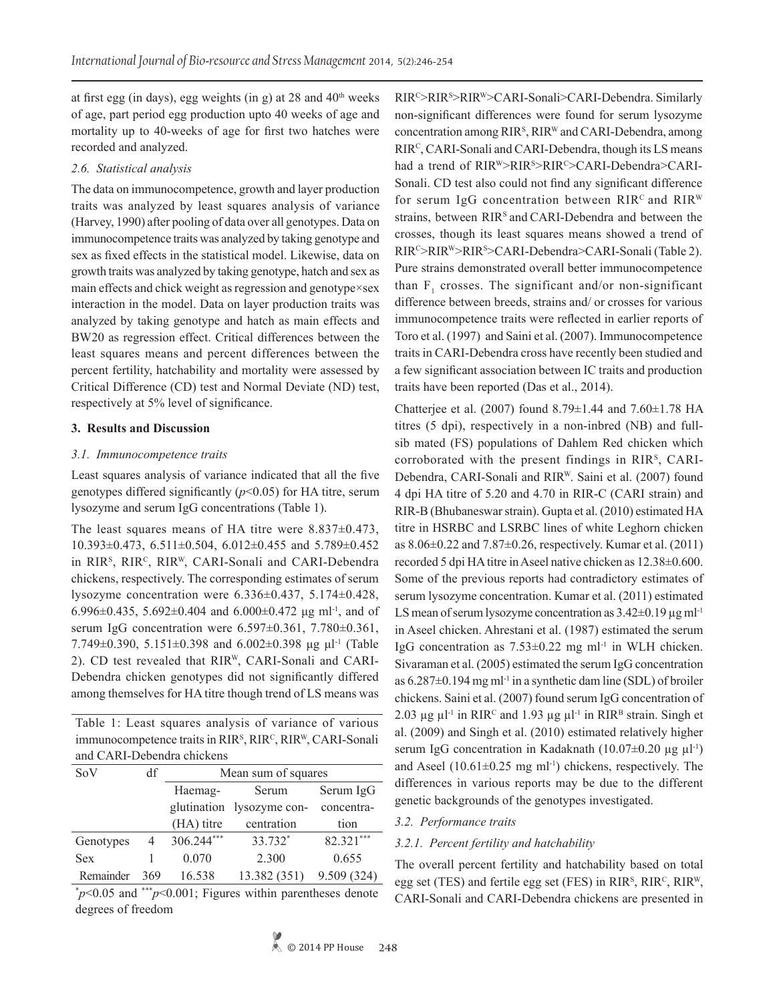at first egg (in days), egg weights (in g) at 28 and  $40<sup>th</sup>$  weeks of age, part period egg production upto 40 weeks of age and mortality up to 40-weeks of age for first two hatches were recorded and analyzed.

# *2.6. Statistical analysis*

The data on immunocompetence, growth and layer production traits was analyzed by least squares analysis of variance (Harvey, 1990) after pooling of data over all genotypes. Data on immunocompetence traits was analyzed by taking genotype and sex as fixed effects in the statistical model. Likewise, data on growth traits was analyzed by taking genotype, hatch and sex as main effects and chick weight as regression and genotype×sex interaction in the model. Data on layer production traits was analyzed by taking genotype and hatch as main effects and BW20 as regression effect. Critical differences between the least squares means and percent differences between the percent fertility, hatchability and mortality were assessed by Critical Difference (CD) test and Normal Deviate (ND) test, respectively at 5% level of significance.

# **3. Results and Discussion**

# *3.1. Immunocompetence traits*

Least squares analysis of variance indicated that all the five genotypes differed significantly  $(p<0.05)$  for HA titre, serum lysozyme and serum IgG concentrations (Table 1).

The least squares means of HA titre were 8.837±0.473, 10.393±0.473, 6.511±0.504, 6.012±0.455 and 5.789±0.452 in RIR<sup>s</sup>, RIR<sup>c</sup>, RIR<sup>W</sup>, CARI-Sonali and CARI-Debendra chickens, respectively. The corresponding estimates of serum lysozyme concentration were 6.336±0.437, 5.174±0.428, 6.996 $\pm$ 0.435, 5.692 $\pm$ 0.404 and 6.000 $\pm$ 0.472 µg ml<sup>-1</sup>, and of serum IgG concentration were 6.597±0.361, 7.780±0.361,  $7.749\pm0.390$ ,  $5.151\pm0.398$  and  $6.002\pm0.398$  μg μl<sup>-1</sup> (Table 2). CD test revealed that RIRW, CARI-Sonali and CARI-Debendra chicken genotypes did not significantly differed among themselves for HA titre though trend of LS means was

Table 1: Least squares analysis of variance of various immunocompetence traits in RIR<sup>s</sup>, RIR<sup>c</sup>, RIR<sup>W</sup>, CARI-Sonali and CARI-Debendra chickens

| SoV        | df  | Mean sum of squares |                           |             |  |  |  |
|------------|-----|---------------------|---------------------------|-------------|--|--|--|
|            |     | Haemag-             | Serum                     | Serum IgG   |  |  |  |
|            |     |                     | glutination lysozyme con- | concentra-  |  |  |  |
|            |     | (HA) titre          | centration                | tion        |  |  |  |
| Genotypes  | 4   | 306.244***          | 33.732*                   | 82.321***   |  |  |  |
| <b>Sex</b> |     | 0.070               | 2.300                     | 0.655       |  |  |  |
| Remainder  | 369 | 16.538              | 13.382 (351)              | 9.509 (324) |  |  |  |

\* *p*<0.05 and \*\*\**p*<0.001; Figures within parentheses denote degrees of freedom

RIR<sup>c</sup>>RIR<sup>s</sup>>RIR<sup>w</sup>>CARI-Sonali>CARI-Debendra. Similarly non-significant differences were found for serum lysozyme concentration among RIR<sup>s</sup>, RIR<sup>W</sup> and CARI-Debendra, among RIR<sup>C</sup>, CARI-Sonali and CARI-Debendra, though its LS means had a trend of RIR<sup>W</sup>>RIR<sup>S</sup>>RIR<sup>c</sup>>CARI-Debendra>CARI-Sonali. CD test also could not find any significant difference for serum IgG concentration between  $RIR^{c}$  and  $RIR^{w}$ strains, between RIR<sup>s</sup> and CARI-Debendra and between the crosses, though its least squares means showed a trend of RIRC>RIRW>RIRS >CARI-Debendra>CARI-Sonali (Table 2). Pure strains demonstrated overall better immunocompetence than  $F_1$  crosses. The significant and/or non-significant difference between breeds, strains and/ or crosses for various immunocompetence traits were reflected in earlier reports of Toro et al. (1997) and Saini et al. (2007). Immunocompetence traits in CARI-Debendra cross have recently been studied and a few significant association between IC traits and production traits have been reported (Das et al., 2014).

Chatterjee et al. (2007) found 8.79±1.44 and 7.60±1.78 HA titres (5 dpi), respectively in a non-inbred (NB) and fullsib mated (FS) populations of Dahlem Red chicken which corroborated with the present findings in RIRS, CARI-Debendra, CARI-Sonali and RIRW. Saini et al. (2007) found 4 dpi HA titre of 5.20 and 4.70 in RIR-C (CARI strain) and RIR-B (Bhubaneswar strain). Gupta et al. (2010) estimated HA titre in HSRBC and LSRBC lines of white Leghorn chicken as  $8.06\pm0.22$  and  $7.87\pm0.26$ , respectively. Kumar et al. (2011) recorded 5 dpi HA titre in Aseel native chicken as 12.38±0.600. Some of the previous reports had contradictory estimates of serum lysozyme concentration. Kumar et al. (2011) estimated LS mean of serum lysozyme concentration as  $3.42\pm0.19 \,\mu g \,\text{m}$ l<sup>-1</sup> in Aseel chicken. Ahrestani et al. (1987) estimated the serum IgG concentration as  $7.53\pm0.22$  mg ml<sup>-1</sup> in WLH chicken. Sivaraman et al. (2005) estimated the serum IgG concentration as  $6.287\pm0.194$  mg ml<sup>-1</sup> in a synthetic dam line (SDL) of broiler chickens. Saini et al. (2007) found serum IgG concentration of 2.03  $\mu$ g  $\mu$ l<sup>-1</sup> in RIR<sup>C</sup> and 1.93  $\mu$ g  $\mu$ l<sup>-1</sup> in RIR<sup>B</sup> strain. Singh et al. (2009) and Singh et al. (2010) estimated relatively higher serum IgG concentration in Kadaknath (10.07 $\pm$ 0.20 µg µl<sup>-1</sup>) and Aseel  $(10.61\pm0.25 \text{ mg ml}^{-1})$  chickens, respectively. The differences in various reports may be due to the different genetic backgrounds of the genotypes investigated.

# *3.2. Performance traits*

# *3.2.1. Percent fertility and hatchability*

The overall percent fertility and hatchability based on total egg set (TES) and fertile egg set (FES) in  $RIR<sup>s</sup>$ ,  $RIR<sup>c</sup>$ ,  $RIR<sup>w</sup>$ , CARI-Sonali and CARI-Debendra chickens are presented in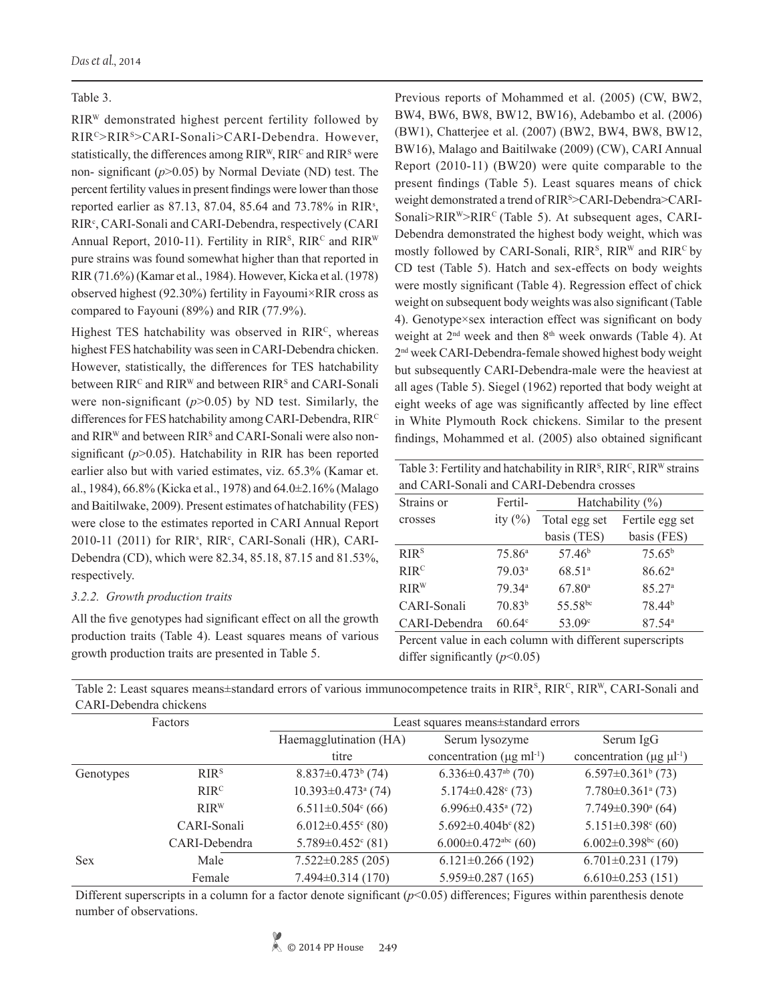# Table 3.

RIRW demonstrated highest percent fertility followed by RIRC>RIRS>CARI-Sonali>CARI-Debendra. However, statistically, the differences among RIR<sup>W</sup>, RIR<sup>c</sup> and RIR<sup>s</sup> were non- significant (*p*>0.05) by Normal Deviate (ND) test. The percent fertility values in present findings were lower than those reported earlier as 87.13, 87.04, 85.64 and 73.78% in RIR<sup>s</sup>, RIR<sup>c</sup>, CARI-Sonali and CARI-Debendra, respectively (CARI Annual Report, 2010-11). Fertility in RIR<sup>s</sup>, RIR<sup>c</sup> and RIR<sup>W</sup> pure strains was found somewhat higher than that reported in RIR (71.6%) (Kamar et al., 1984). However, Kicka et al. (1978) observed highest (92.30%) fertility in Fayoumi×RIR cross as compared to Fayouni (89%) and RIR (77.9%).

Highest TES hatchability was observed in RIRC, whereas highest FES hatchability was seen in CARI-Debendra chicken. However, statistically, the differences for TES hatchability between  $RIR<sup>c</sup>$  and  $RIR<sup>w</sup>$  and between  $RIR<sup>s</sup>$  and CARI-Sonali were non-significant  $(p>0.05)$  by ND test. Similarly, the differences for FES hatchability among CARI-Debendra, RIRC and RIR<sup>W</sup> and between RIR<sup>s</sup> and CARI-Sonali were also nonsignificant ( $p$ >0.05). Hatchability in RIR has been reported earlier also but with varied estimates, viz. 65.3% (Kamar et. al., 1984), 66.8% (Kicka et al., 1978) and 64.0±2.16% (Malago and Baitilwake, 2009). Present estimates of hatchability (FES) were close to the estimates reported in CARI Annual Report 2010-11 (2011) for RIR<sup>s</sup>, RIR<sup>c</sup>, CARI-Sonali (HR), CARI-Debendra (CD), which were 82.34, 85.18, 87.15 and 81.53%, respectively.

# *3.2.2. Growth production traits*

All the five genotypes had significant effect on all the growth production traits (Table 4). Least squares means of various growth production traits are presented in Table 5.

Previous reports of Mohammed et al. (2005) (CW, BW2, BW4, BW6, BW8, BW12, BW16), Adebambo et al. (2006) (BW1), Chatterjee et al. (2007) (BW2, BW4, BW8, BW12, BW16), Malago and Baitilwake (2009) (CW), CARI Annual Report (2010-11) (BW20) were quite comparable to the present findings (Table 5). Least squares means of chick weight demonstrated a trend of RIRS >CARI-Debendra>CARI-Sonali>RIR<sup>W</sup>>RIR<sup>C</sup> (Table 5). At subsequent ages, CARI-Debendra demonstrated the highest body weight, which was mostly followed by CARI-Sonali,  $RIR<sup>s</sup>$ ,  $RIR<sup>w</sup>$  and  $RIR<sup>c</sup>$  by CD test (Table 5). Hatch and sex-effects on body weights were mostly significant (Table 4). Regression effect of chick weight on subsequent body weights was also significant (Table 4). Genotype×sex interaction effect was significant on body weight at 2nd week and then 8th week onwards (Table 4). At 2nd week CARI-Debendra-female showed highest body weight but subsequently CARI-Debendra-male were the heaviest at all ages (Table 5). Siegel (1962) reported that body weight at eight weeks of age was significantly affected by line effect in White Plymouth Rock chickens. Similar to the present findings, Mohammed et al. (2005) also obtained significant

Table 3: Fertility and hatchability in  $RIR<sup>S</sup>$ ,  $RIR<sup>C</sup>$ ,  $RIR<sup>W</sup>$  strains and CARI-Sonali and CARI-Debendra crosses

| Strains or       | Fertil-            | Hatchability $(\% )$ |                      |  |  |  |
|------------------|--------------------|----------------------|----------------------|--|--|--|
| crosses          | ity $(\% )$        | Total egg set        | Fertile egg set      |  |  |  |
|                  |                    | basis (TES)          | basis (FES)          |  |  |  |
| RIR <sup>S</sup> | $75.86^{\circ}$    | 57.46 <sup>b</sup>   | $75.65^{b}$          |  |  |  |
| RIR <sup>C</sup> | 79.03 <sup>a</sup> | 68.51 <sup>a</sup>   | 86.62 <sup>a</sup>   |  |  |  |
| RIR <sup>W</sup> | 79 34 <sup>a</sup> | $67.80$ <sup>a</sup> | 85.27 <sup>a</sup>   |  |  |  |
| CARI-Sonali      | 70.83 <sup>b</sup> | 55.58bc              | 78.44 <sup>b</sup>   |  |  |  |
| CARI-Debendra    | $60.64^{\circ}$    | 53.09 <sup>c</sup>   | $87.54$ <sup>a</sup> |  |  |  |

Percent value in each column with different superscripts differ significantly (*p*<0.05)

|            | CARI-Debendra chickens |                                      |                                            |                                                 |  |  |  |  |
|------------|------------------------|--------------------------------------|--------------------------------------------|-------------------------------------------------|--|--|--|--|
|            | Factors                | Least squares means±standard errors  |                                            |                                                 |  |  |  |  |
|            |                        | Haemagglutination (HA)               | Serum lysozyme                             | Serum IgG                                       |  |  |  |  |
|            |                        | titre                                | concentration ( $\mu$ g ml <sup>-1</sup> ) | concentration ( $\mu$ g $\mu$ l <sup>-1</sup> ) |  |  |  |  |
| Genotypes  | <b>RIR<sup>s</sup></b> | $8.837 \pm 0.473$ <sup>b</sup> (74)  | $6.336 \pm 0.437$ <sup>ab</sup> (70)       | $6.597 \pm 0.361$ <sup>b</sup> (73)             |  |  |  |  |
|            | RIR <sup>C</sup>       | $10.393 \pm 0.473$ <sup>a</sup> (74) | $5.174 \pm 0.428$ (73)                     | $7.780 \pm 0.361$ <sup>a</sup> (73)             |  |  |  |  |
|            | RIRW                   | $6.511 \pm 0.504$ <sup>c</sup> (66)  | $6.996 \pm 0.435$ <sup>a</sup> (72)        | $7.749 \pm 0.390$ <sup>a</sup> (64)             |  |  |  |  |
|            | CARI-Sonali            | $6.012 \pm 0.455$ <sup>c</sup> (80)  | $5.692 \pm 0.404b^c(82)$                   | $5.151 \pm 0.398$ <sup>c</sup> (60)             |  |  |  |  |
|            | CARI-Debendra          | $5.789 \pm 0.452$ <sup>c</sup> (81)  | $6.000 \pm 0.472$ <sup>abc</sup> (60)      | $6.002 \pm 0.398$ <sup>bc</sup> (60)            |  |  |  |  |
| <b>Sex</b> | Male                   | $7.522 \pm 0.285$ (205)              | $6.121 \pm 0.266$ (192)                    | $6.701 \pm 0.231$ (179)                         |  |  |  |  |
|            | Female                 | $7.494\pm0.314(170)$                 | $5.959 \pm 0.287$ (165)                    | $6.610\pm0.253(151)$                            |  |  |  |  |

Table 2: Least squares means±standard errors of various immunocompetence traits in  $RIR<sup>s</sup>$ ,  $RIR<sup>c</sup>$ ,  $RIR<sup>w</sup>$ , CARI-Sonali and CARI-Debendra chickens

Different superscripts in a column for a factor denote significant ( $p$ <0.05) differences; Figures within parenthesis denote number of observations.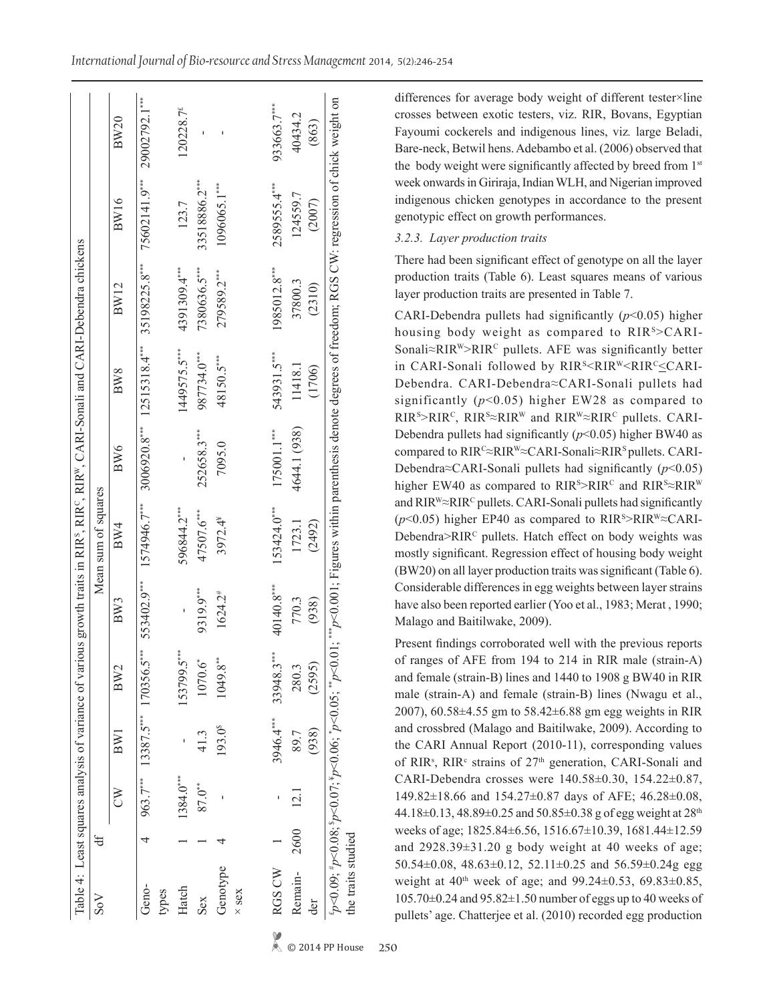| $S_{\rm 0}$        | đf |           |                     |                                   |                       | Mean sum of squares |               |                   |                                          |                             |                       |
|--------------------|----|-----------|---------------------|-----------------------------------|-----------------------|---------------------|---------------|-------------------|------------------------------------------|-----------------------------|-----------------------|
|                    |    | Š         | BWI                 | BW2                               | BW3                   | BW4                 | BW6           | BW8               | BW12                                     | BW16                        | BW20                  |
| Geno-<br>types     |    |           |                     | $963.7***$ 13387.5*** 170356.5*** | 553402.9***           | 1574946.7***        |               |                   | 3006920.8*** 12515318.4*** 35198225.8*** | 75602141.9*** 29002792.1*** |                       |
| Hatch              |    | 1384.0*** |                     | 153799.5***                       |                       | 596844.2***         |               | 1449575.5***      | 4391309.4***                             | 123.7                       | 120228.7 <sup>£</sup> |
| Sex                |    | 87.0**    | 41.3                | 1070.6*                           | 9319.9***             | 47507.6***          | 252658.3***   | 987734.0***       | 7380636.5***                             | 33518886.2****              |                       |
| Genotype           |    |           | 193.0 <sup>\$</sup> | $1049.8***$                       | $1624.2$ <sup>#</sup> | 3972.4*             | 7095.0        | 48150.5***        | 279589.2***                              | 1096065.1***                |                       |
| $\times$ sex       |    |           |                     |                                   |                       |                     |               |                   |                                          |                             |                       |
| RGS CW             |    |           |                     | 3946.4*** 33948.3***              | 40140.8***            | 153424.0***         | $175001.1***$ | 543931.5***       | 1985012.8***                             | 2589555.4***                | 933663.7***           |
| Remain-2600<br>der |    | 12.1      | (938)<br>89.7       | (2595)<br>280.3                   | 770.3<br>(938)        | (2492)<br>1723.1    | 4644.1 (938)  | (1706)<br>11418.1 | 37800.3<br>(2310)                        | 124559.7<br>(2007)          | 40434.2<br>(863)      |

*International Journal of Bio-resource and Stress Management* 2014, 5(2):246-254

differences for average body weight of different tester×line crosses between exotic testers, viz. RIR, Bovans, Egyptian Fayoumi cockerels and indigenous lines, viz*.* large Beladi, Bare-neck, Betwil hens. Adebambo et al. (2006) observed that the body weight were significantly affected by breed from 1st week onwards in Giriraja, Indian WLH, and Nigerian improved indigenous chicken genotypes in accordance to the present genotypic effect on growth performances.

# *3.2.3. Layer production traits*

There had been significant effect of genotype on all the layer production traits (Table 6). Least squares means of various layer production traits are presented in Table 7.

CARI-Debendra pullets had significantly  $(p<0.05)$  higher housing body weight as compared to RIR<sup>S</sup>>CARI-Sonali≈RIR<sup>W</sup>>RIR<sup>c</sup> pullets. AFE was significantly better in CARI-Sonali followed by RIR<sup>S</sup><RIR<sup>W</sup><RIR<sup>C</sup><CARI-Debendra. CARI-Debendra≈CARI-Sonali pullets had significantly  $(p<0.05)$  higher EW28 as compared to  $RIR<sup>s</sup> > RIR<sup>c</sup>, RIR<sup>s</sup> \approx RIR<sup>w</sup>$  and  $RIR<sup>w</sup> \approx RIR<sup>c</sup>$  pullets. CARI-Debendra pullets had significantly (*p*<0.05) higher BW40 as compared to RIRC≈RIRW≈CARI-Sonali≈RIRS pullets. CARI-Debendra≈CARI-Sonali pullets had significantly (*p*<0.05) higher EW40 as compared to  $RIR<sup>s</sup> > RIR<sup>c</sup>$  and  $RIR<sup>s</sup> \approx RIR<sup>w</sup>$ and RIR<sup>W</sup>≈RIR<sup>C</sup> pullets. CARI-Sonali pullets had significantly (*p*<0.05) higher EP40 as compared to RIR<sup>s</sup>>RIR<sup>w</sup>≈CARI-Debendra>RIR<sup>C</sup> pullets. Hatch effect on body weights was mostly significant. Regression effect of housing body weight (BW20) on all layer production traits was significant (Table 6). Considerable differences in egg weights between layer strains have also been reported earlier (Yoo et al., 1983; Merat , 1990; Malago and Baitilwake, 2009).

Present findings corroborated well with the previous reports of ranges of AFE from 194 to 214 in RIR male (strain-A) and female (strain-B) lines and 1440 to 1908 g BW40 in RIR male (strain-A) and female (strain-B) lines (Nwagu et al., 2007), 60.58±4.55 gm to 58.42±6.88 gm egg weights in RIR and crossbred (Malago and Baitilwake, 2009). According to the CARI Annual Report (2010-11), corresponding values of RIR<sup>s</sup>, RIR<sup>c</sup> strains of 27<sup>th</sup> generation, CARI-Sonali and CARI-Debendra crosses were 140.58±0.30, 154.22±0.87, 149.82±18.66 and 154.27±0.87 days of AFE; 46.28±0.08, 44.18±0.13, 48.89±0.25 and 50.85±0.38 g of egg weight at 28<sup>th</sup> weeks of age; 1825.84±6.56, 1516.67±10.39, 1681.44±12.59 and  $2928.39\pm31.20$  g body weight at 40 weeks of age; 50.54 $\pm$ 0.08, 48.63 $\pm$ 0.12, 52.11 $\pm$ 0.25 and 56.59 $\pm$ 0.24g egg weight at  $40^{th}$  week of age; and  $99.24 \pm 0.53$ ,  $69.83 \pm 0.85$ , 105.70±0.24 and 95.82±1.50 number of eggs up to 40 weeks of pullets' age. Chatterjee et al. (2010) recorded egg production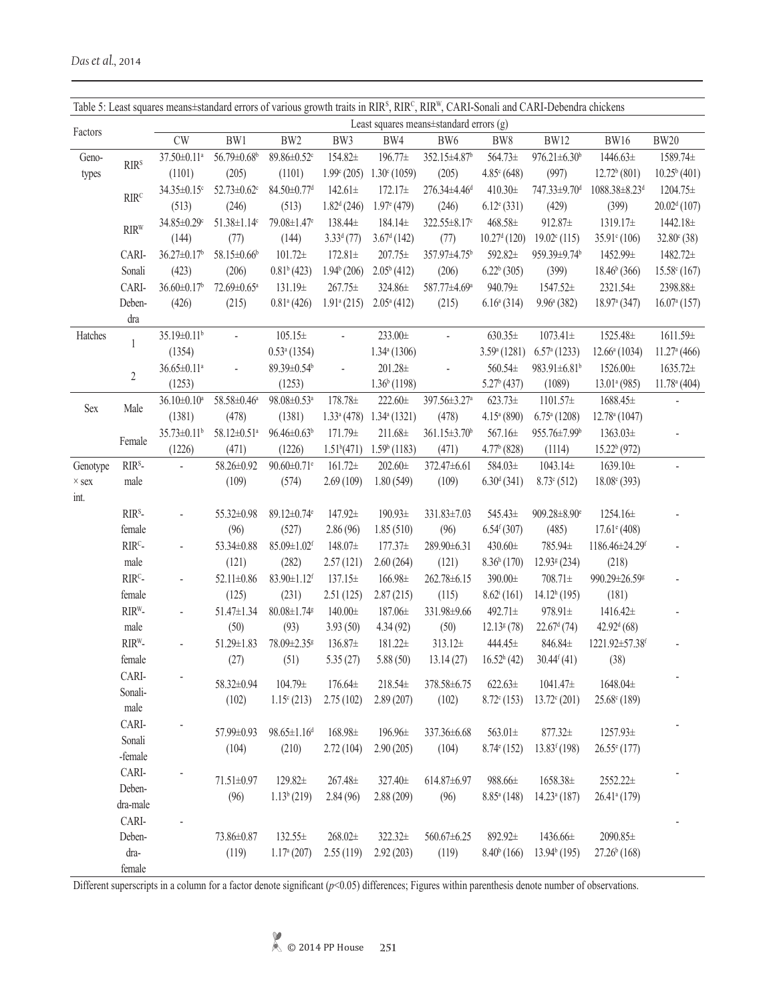|              | Table 5: Least squares means±standard errors of various growth traits in RIR <sup>s</sup> , RIR <sup>c</sup> , RIR <sup>W</sup> , CARI-Sonali and CARI-Debendra chickens |                               |                               |                               |                           |                            |                                         |                             |                                |                            |                          |
|--------------|--------------------------------------------------------------------------------------------------------------------------------------------------------------------------|-------------------------------|-------------------------------|-------------------------------|---------------------------|----------------------------|-----------------------------------------|-----------------------------|--------------------------------|----------------------------|--------------------------|
| Factors      |                                                                                                                                                                          |                               |                               |                               |                           |                            | Least squares means±standard errors (g) |                             |                                |                            |                          |
|              |                                                                                                                                                                          | CW                            | BW1                           | BW <sub>2</sub>               | BW3                       | BW4                        | BW6                                     | BW8                         | <b>BW12</b>                    | <b>BW16</b>                | <b>BW20</b>              |
| Geno-        | RIR <sup>s</sup>                                                                                                                                                         | 37.50±0.11 <sup>a</sup>       | 56.79±0.68 <sup>b</sup>       | 89.86±0.52c                   | 154.82±                   | 196.77±                    | 352.15±4.87 <sup>b</sup>                | 564.73±                     | $976.21 \pm 6.30^b$            | 1446.63±                   | 1589.74±                 |
| types        |                                                                                                                                                                          | (1101)                        | (205)                         | (1101)                        | $1.99^{\circ} (205)$      | $1.30^{\circ}$ (1059)      | (205)                                   | $4.85^{\circ}$ (648)        | (997)                          | $12.72b$ (801)             | $10.25^b(401)$           |
|              | RIR <sup>C</sup>                                                                                                                                                         | 34.35±0.15 <sup>c</sup>       | $52.73 \pm 0.62$ <sup>c</sup> | $84.50 \pm 0.77$ <sup>d</sup> | $142.61 \pm$              | $172.17+$                  | 276.34±4.46 <sup>d</sup>                | $410.30 \pm$                | 747.33±9.70 <sup>d</sup>       | 1088.38±8.23 <sup>d</sup>  | 1204.75±                 |
|              |                                                                                                                                                                          | (513)                         | (246)                         | (513)                         | $1.82d$ (246)             | $1.97$ <sup>e</sup> (479)  | (246)                                   | $6.12$ <sup>e</sup> $(331)$ | (429)                          | (399)                      | $20.02d$ (107)           |
|              | <b>RIRW</b>                                                                                                                                                              | 34.85±0.29c                   | $51.38 \pm 1.14$ c            | 79.08±1.47 <sup>e</sup>       | 138.44±                   | $184.14 \pm$               | 322.55±8.17 <sup>c</sup>                | 468.58±                     | 912.87±                        | 1319.17±                   | 1442.18±                 |
|              |                                                                                                                                                                          | (144)                         | (77)                          | (144)                         | $3.33d$ (77)              | $3.67d$ (142)              | (77)                                    | $10.27d$ (120)              | $19.02^{\circ}$ (115)          | $35.91^{\circ} (106)$      | $32.80^{\circ}$ (38)     |
|              | CARI-                                                                                                                                                                    | $36.27 \pm 0.17$ <sup>b</sup> | 58.15±0.66 <sup>b</sup>       | $101.72\pm$                   | $172.81 \pm$              | $207.75\pm$                | 357.97±4.75 <sup>b</sup>                | 592.82±                     | 959.39±9.74 <sup>b</sup>       | 1452.99±                   | 1482.72±                 |
|              | Sonali                                                                                                                                                                   | (423)                         | (206)                         | 0.81 <sup>b</sup> (423)       | $1.94b$ (206)             | $2.05b$ (412)              | (206)                                   | $6.22b$ (305)               | (399)                          | $18.46b$ (366)             | $15.58^{\circ}$ (167)    |
|              | CARI-                                                                                                                                                                    | 36.60±0.17 <sup>b</sup>       | 72.69±0.65 <sup>a</sup>       | $131.19 \pm$                  | $267.75 \pm$              | 324.86±                    | 587.77±4.69ª                            | 940.79±                     | 1547.52±                       | 2321.54±                   | 2398.88±                 |
|              | Deben-                                                                                                                                                                   | (426)                         | (215)                         | $0.81^{\circ}$ (426)          | $1.91$ <sup>a</sup> (215) | $2.05^a(412)$              | (215)                                   | $6.16^a(314)$               | $9.96^{\circ}$ (382)           | $18.97a$ (347)             | 16.07 <sup>a</sup> (157) |
|              | dra                                                                                                                                                                      |                               |                               |                               |                           |                            |                                         |                             |                                |                            |                          |
| Hatches      |                                                                                                                                                                          | 35.19±0.11 <sup>b</sup>       |                               | $105.15\pm$                   | $\blacksquare$            | $233.00 \pm$               | $\blacksquare$                          | $630.35\pm$                 | $1073.41 \pm$                  | 1525.48±                   | 1611.59±                 |
|              | 1                                                                                                                                                                        | (1354)                        |                               | $0.53a$ (1354)                |                           | $1.34$ <sup>a</sup> (1306) |                                         | 3.59 <sup>a</sup> (1281)    | $6.57a$ (1233)                 | $12.66^a(1034)$            | $11.27a$ (466)           |
|              |                                                                                                                                                                          | $36.65 \pm 0.11^a$            |                               | $89.39 \pm 0.54$ <sup>b</sup> |                           | 201.28±                    |                                         | 560.54±                     | 983.91 $\pm$ 6.81 <sup>b</sup> | 1526.00±                   | 1635.72±                 |
|              | $\overline{2}$                                                                                                                                                           | (1253)                        |                               | (1253)                        |                           | $1.36b$ (1198)             |                                         | 5.27 <sup>b</sup> (437)     | (1089)                         | 13.01 <sup>a</sup> (985)   | $11.78a$ (404)           |
|              |                                                                                                                                                                          | $36.10 \pm 0.10^a$            | 58.58±0.46 <sup>a</sup>       | 98.08±0.53 <sup>a</sup>       | 178.78±                   | $222.60 \pm$               | 397.56±3.27 <sup>a</sup>                | $623.73\pm$                 | $1101.57\pm$                   | 1688.45±                   |                          |
| <b>Sex</b>   | Male                                                                                                                                                                     | (1381)                        | (478)                         | (1381)                        | $1.33^a(478)$             | 1.34 <sup>a</sup> (1321)   | (478)                                   | $4.15^a(890)$               | $6.75^{\mathrm{a}}$ (1208)     | 12.78 <sup>a</sup> (1047)  |                          |
|              |                                                                                                                                                                          | $35.73 \pm 0.11^b$            | 58.12±0.51 <sup>a</sup>       | $96.46 \pm 0.63^b$            | 171.79±                   | $211.68 \pm$               | 361.15±3.70 <sup>b</sup>                | 567.16±                     | 955.76±7.99 <sup>b</sup>       | $1363.03\pm$               |                          |
|              | Female                                                                                                                                                                   | (1226)                        | (471)                         | (1226)                        | 1.51 <sup>b</sup> (471)   | $1.59b$ (1183)             | (471)                                   | $4.77b$ (828)               | (1114)                         | $15.22b$ (972)             |                          |
| Genotype     | RIR <sup>S</sup> -                                                                                                                                                       | $\overline{a}$                | 58.26±0.92                    | $90.60 \pm 0.71$ <sup>e</sup> | $161.72 \pm$              | $202.60 \pm$               | 372.47±6.61                             | 584.03±                     | $1043.14 \pm$                  | $1639.10 \pm$              | L.                       |
|              | male                                                                                                                                                                     |                               | (109)                         | (574)                         | 2.69(109)                 | 1.80(549)                  | (109)                                   | 6.30 <sup>d</sup> (341)     | $8.73^{\circ}$ (512)           | 18.08 <sup>c</sup> (393)   |                          |
| $\times$ sex |                                                                                                                                                                          |                               |                               |                               |                           |                            |                                         |                             |                                |                            |                          |
| int.         | $RIRS$ -                                                                                                                                                                 |                               |                               | 89.12±0.74 <sup>e</sup>       |                           |                            |                                         |                             |                                |                            |                          |
|              |                                                                                                                                                                          |                               | 55.32±0.98                    |                               | 147.92±                   | 190.93±                    | 331.83±7.03                             | 545.43±                     | 909.28±8.90°                   | 1254.16±                   |                          |
|              | female                                                                                                                                                                   |                               | (96)                          | (527)                         | 2.86(96)                  | 1.85(510)                  | (96)                                    | 6.54 <sup>f</sup> (307)     | (485)                          | $17.61^{\circ}$ (408)      |                          |
|              | RIR <sup>C</sup> -                                                                                                                                                       |                               | 53.34±0.88                    | $85.09 \pm 1.02$ <sup>f</sup> | 148.07±                   | $177.37\pm$                | 289.90±6.31                             | $430.60\pm$                 | 785.94±                        | 1186.46±24.29f             |                          |
|              | male                                                                                                                                                                     |                               | (121)                         | (282)                         | 2.57(121)                 | 2.60(264)                  | (121)                                   | 8.36 <sup>h</sup> (170)     | $12.93g$ (234)                 | (218)                      |                          |
|              | $RIRc$ -                                                                                                                                                                 |                               | 52.11±0.86                    | $83.90 \pm 1.12$ <sup>f</sup> | $137.15 \pm$              | 166.98±                    | 262.78±6.15                             | 390.00±                     | $708.71 \pm$                   | 990.29±26.59g              |                          |
|              | female                                                                                                                                                                   |                               | (125)                         | (231)                         | 2.51(125)                 | 2.87(215)                  | (115)                                   | $8.62^{\rm i}(161)$         | $14.12h$ (195)                 | (181)                      |                          |
|              | RIR <sup>W</sup> -                                                                                                                                                       |                               | 51.47±1.34                    | $80.08 \pm 1.74$ <sup>g</sup> | $140.00 \pm$              | 187.06±                    | 331.98±9.66                             | 492.71±                     | 978.91±                        | $1416.42\pm$               |                          |
|              | male                                                                                                                                                                     |                               | (50)                          | (93)                          | 3.93(50)                  | 4.34(92)                   | (50)                                    | $12.13$ <sup>g</sup> $(78)$ | $22.67d$ (74)                  | $42.92^{d}$ (68)           |                          |
|              | RIR <sup>W</sup> -                                                                                                                                                       |                               | 51.29±1.83                    | 78.09±2.35 <sup>g</sup>       | 136.87±                   | 181.22±                    | $313.12 \pm$                            | 444.45±                     | 846.84±                        | 1221.92±57.38f             |                          |
|              | female                                                                                                                                                                   |                               | (27)                          | (51)                          | 5.35(27)                  | 5.88(50)                   | 13.14(27)                               | 16.52 <sup>h</sup> (42)     | $30.44^{f}(41)$                | (38)                       |                          |
|              | CARI-                                                                                                                                                                    |                               | 58.32±0.94                    | 104.79±                       | $176.64 \pm$              | 218.54±                    | 378.58±6.75                             | $622.63 \pm$                | 1041.47±                       | 1648.04±                   |                          |
|              | Sonali-                                                                                                                                                                  |                               | (102)                         | $1.15^{\circ}$ (213)          | 2.75(102)                 | 2.89(207)                  | (102)                                   | $8.72^{\circ}$ (153)        | $13.72^{\circ} (201)$          | $25.68^{\circ}$ (189)      |                          |
|              | male                                                                                                                                                                     |                               |                               |                               |                           |                            |                                         |                             |                                |                            |                          |
|              | CARI-                                                                                                                                                                    |                               | 57.99±0.93                    | $98.65 \pm 1.16^d$            | $168.98\pm$               | 196.96±                    | 337.36±6.68                             | $563.01\pm$                 | $877.32 \pm$                   | $1257.93\pm$               |                          |
|              | Sonali                                                                                                                                                                   |                               | (104)                         | (210)                         | 2.72(104)                 | 2.90(205)                  | (104)                                   | $8.74^{\circ}$ (152)        | $13.83^{f}$ (198)              | $26.55^{\circ}$ (177)      |                          |
|              | -female                                                                                                                                                                  |                               |                               |                               |                           |                            |                                         |                             |                                |                            |                          |
|              | CARI-                                                                                                                                                                    |                               | 71.51±0.97                    | 129.82±                       | 267.48±                   | 327.40±                    | 614.87±6.97                             | 988.66±                     | 1658.38±                       | 2552.22±                   |                          |
|              | Deben-                                                                                                                                                                   |                               | (96)                          | $1.13b$ (219)                 | 2.84(96)                  | 2.88(209)                  | (96)                                    | $8.85^{\circ}$ (148)        | $14.23a$ (187)                 | $26.41$ <sup>a</sup> (179) |                          |
|              | dra-male                                                                                                                                                                 |                               |                               |                               |                           |                            |                                         |                             |                                |                            |                          |
|              | CARI-                                                                                                                                                                    |                               |                               |                               |                           |                            |                                         |                             |                                |                            |                          |
|              | Deben-                                                                                                                                                                   |                               | 73.86±0.87                    | $132.55\pm$                   | $268.02\pm$               | 322.32±                    | 560.67±6.25                             | 892.92±                     | 1436.66±                       | $2090.85\pm$               |                          |
|              | dra-                                                                                                                                                                     |                               | (119)                         | $1.17a$ (207)                 | 2.55(119)                 | 2.92(203)                  | (119)                                   | $8.40^{b}$ (166)            | $13.94b$ (195)                 | $27.26^b(168)$             |                          |
|              | female                                                                                                                                                                   |                               |                               |                               |                           |                            |                                         |                             |                                |                            |                          |

Different superscripts in a column for a factor denote significant (*p*<0.05) differences; Figures within parenthesis denote number of observations.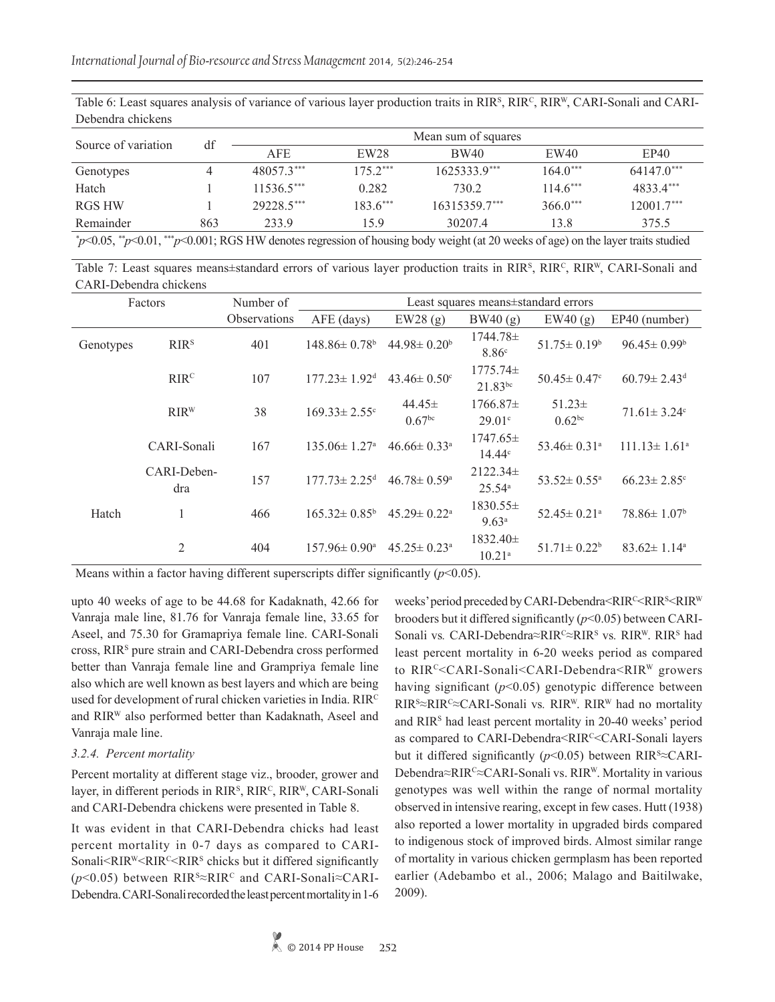| Table 6: Least squares analysis of variance of various layer production traits in RIR <sup>S</sup> , RIR <sup>C</sup> , RIR <sup>W</sup> , CARI-Sonali and CARI- |  |  |  |
|------------------------------------------------------------------------------------------------------------------------------------------------------------------|--|--|--|
| Debendra chickens                                                                                                                                                |  |  |  |

| Source of variation                                                                                                                                                                                                                                                                     | df  | Mean sum of squares |                  |                 |                            |              |  |  |
|-----------------------------------------------------------------------------------------------------------------------------------------------------------------------------------------------------------------------------------------------------------------------------------------|-----|---------------------|------------------|-----------------|----------------------------|--------------|--|--|
|                                                                                                                                                                                                                                                                                         |     | <b>AFE</b>          | EW <sub>28</sub> | BW40            | EW40                       | EP40         |  |  |
| Genotypes                                                                                                                                                                                                                                                                               |     | 48057.3***          | $1752***$        | $1625333.9***$  | $164.0***$                 | $64147.0***$ |  |  |
| Hatch                                                                                                                                                                                                                                                                                   |     | $11536.5***$        | 0.282            | 730.2           | $114.6***$                 | 48334***     |  |  |
| RGS HW                                                                                                                                                                                                                                                                                  |     | 29228.5***          | $1836***$        | $16315359.7***$ | $366.0***$                 | 12001.7***   |  |  |
| Remainder                                                                                                                                                                                                                                                                               | 863 | 2339                | 159              | 30207.4         | 13.8                       | 375.5        |  |  |
| $\ddot{X}$ $\theta$ $\theta$ $\theta$ $\ddot{X}$ $\ddot{X}$ $\ddot{X}$ $\ddot{X}$ $\ddot{X}$ $\ddot{X}$ $\ddot{X}$ $\ddot{X}$ $\ddot{X}$ $\ddot{X}$ $\ddot{X}$ $\ddot{X}$ $\ddot{X}$ $\ddot{X}$ $\ddot{X}$ $\ddot{X}$ $\ddot{X}$ $\ddot{X}$ $\ddot{X}$ $\ddot{X}$ $\ddot{X}$ $\ddot{X}$ |     |                     | $^{\sim}$ 1      |                 | $\sim$ $\sim$<br>$-1$ $-1$ |              |  |  |

*\* p*<0.05, *\*\*p*<0.01, \*\*\**p*<0.001; RGS HW denotes regression of housing body weight (at 20 weeks of age) on the layer traits studied

Table 7: Least squares means $\pm$ standard errors of various layer production traits in RIR<sup>s</sup>, RIR<sup>c</sup>, RIR<sup>v</sup>, CARI-Sonali and CARI-Debendra chickens

| Factors   |                    | Number of           |                                |                                  | Least squares means±standard errors |                                   |                               |
|-----------|--------------------|---------------------|--------------------------------|----------------------------------|-------------------------------------|-----------------------------------|-------------------------------|
|           |                    | <b>Observations</b> | $AFE$ (days)                   | EW28(g)                          | BW40(g)                             | EW40(g)                           | EP40 (number)                 |
| Genotypes | RIR <sup>s</sup>   | 401                 | $148.86 \pm 0.78$ <sup>b</sup> | $44.98 \pm 0.20^b$               | $1744.78\pm$<br>8.86 <sup>c</sup>   | $51.75 \pm 0.19^b$                | $96.45 \pm 0.99^{\circ}$      |
|           | RIR <sup>C</sup>   | 107                 | $177.23 \pm 1.92$ <sup>d</sup> | $43.46 \pm 0.50$ <sup>c</sup>    | $1775.74\pm$<br>$21.83^{bc}$        | $50.45 \pm 0.47$ °                | $60.79 \pm 2.43$ <sup>d</sup> |
|           | $RIR^{W}$          | 38                  | $169.33 \pm 2.55$ <sup>c</sup> | $44.45\pm$<br>0.67 <sup>bc</sup> | $1766.87\pm$<br>29.01c              | $51.23 \pm$<br>0.62 <sup>bc</sup> | $71.61 \pm 3.24$ °            |
|           | CARI-Sonali        | 167                 | $135.06 \pm 1.27$ <sup>a</sup> | $46.66 \pm 0.33$ <sup>a</sup>    | $1747.65 \pm$<br>14.44 <sup>c</sup> | 53.46 $\pm$ 0.31 <sup>a</sup>     | $111.13 \pm 1.61^{\circ}$     |
|           | CARI-Deben-<br>dra | 157                 | $177.73 \pm 2.25$ <sup>d</sup> | $46.78 \pm 0.59$ <sup>a</sup>    | $2122.34\pm$<br>$25.54^{\circ}$     | $53.52 \pm 0.55^{\circ}$          | $66.23 \pm 2.85$ °            |
| Hatch     | 1                  | 466                 | $165.32 \pm 0.85^{\circ}$      | $45.29 \pm 0.22$ <sup>a</sup>    | $1830.55\pm$<br>9.63 <sup>a</sup>   | $52.45 \pm 0.21$ <sup>a</sup>     | $78.86 \pm 1.07^b$            |
|           | $\overline{2}$     | 404                 | $157.96 \pm 0.90^{\circ}$      | $45.25 \pm 0.23$ <sup>a</sup>    | $1832.40 \pm$<br>$10.21^{a}$        | $51.71 \pm 0.22^b$                | $83.62 \pm 1.14^a$            |

Means within a factor having different superscripts differ significantly (*p*<0.05).

upto 40 weeks of age to be 44.68 for Kadaknath, 42.66 for Vanraja male line, 81.76 for Vanraja female line, 33.65 for Aseel, and 75.30 for Gramapriya female line. CARI-Sonali cross, RIR<sup>s</sup> pure strain and CARI-Debendra cross performed better than Vanraja female line and Grampriya female line also which are well known as best layers and which are being used for development of rural chicken varieties in India. RIRC and RIRW also performed better than Kadaknath, Aseel and Vanraja male line.

# *3.2.4. Percent mortality*

Percent mortality at different stage viz., brooder, grower and layer, in different periods in RIR<sup>s</sup>, RIR<sup>c</sup>, RIR<sup>w</sup>, CARI-Sonali and CARI-Debendra chickens were presented in Table 8.

It was evident in that CARI-Debendra chicks had least percent mortality in 0-7 days as compared to CARI-Sonali<RIR<sup>W</sup><RIR<sup>C</sup><RIR<sup>S</sup> chicks but it differed significantly (*p*<0.05) between RIR<sup>s</sup>≈RIR<sup>c</sup> and CARI-Sonali≈CARI-Debendra. CARI-Sonali recorded the least percent mortality in 1-6

weeks' period preceded by CARI-Debendra<RIR<sup>c</sup><RIR<sup>s</sup><RIR<sup>w</sup> brooders but it differed significantly (*p*<0.05) between CARI-Sonali vs. CARI-Debendra≈RIR<sup>c</sup>≈RIR<sup>s</sup> vs. RIR<sup>W</sup>. RIR<sup>s</sup> had least percent mortality in 6-20 weeks period as compared to RIRC<CARI-Sonali<CARI-Debendra<RIRW growers having significant ( $p$ <0.05) genotypic difference between RIR<sup>s</sup>≈RIR<sup>c</sup>≈CARI-Sonali vs. RIR<sup>w</sup>. RIR<sup>w</sup> had no mortality and RIRS had least percent mortality in 20-40 weeks' period as compared to CARI-Debendra<RIR<sup>c</sup><CARI-Sonali layers but it differed significantly ( $p$ <0.05) between RIR<sup>s</sup> $\approx$ CARI-Debendra≈RIR<sup>c</sup>≈CARI-Sonali vs. RIR<sup>W</sup>. Mortality in various genotypes was well within the range of normal mortality observed in intensive rearing, except in few cases. Hutt (1938) also reported a lower mortality in upgraded birds compared to indigenous stock of improved birds. Almost similar range of mortality in various chicken germplasm has been reported earlier (Adebambo et al., 2006; Malago and Baitilwake, 2009).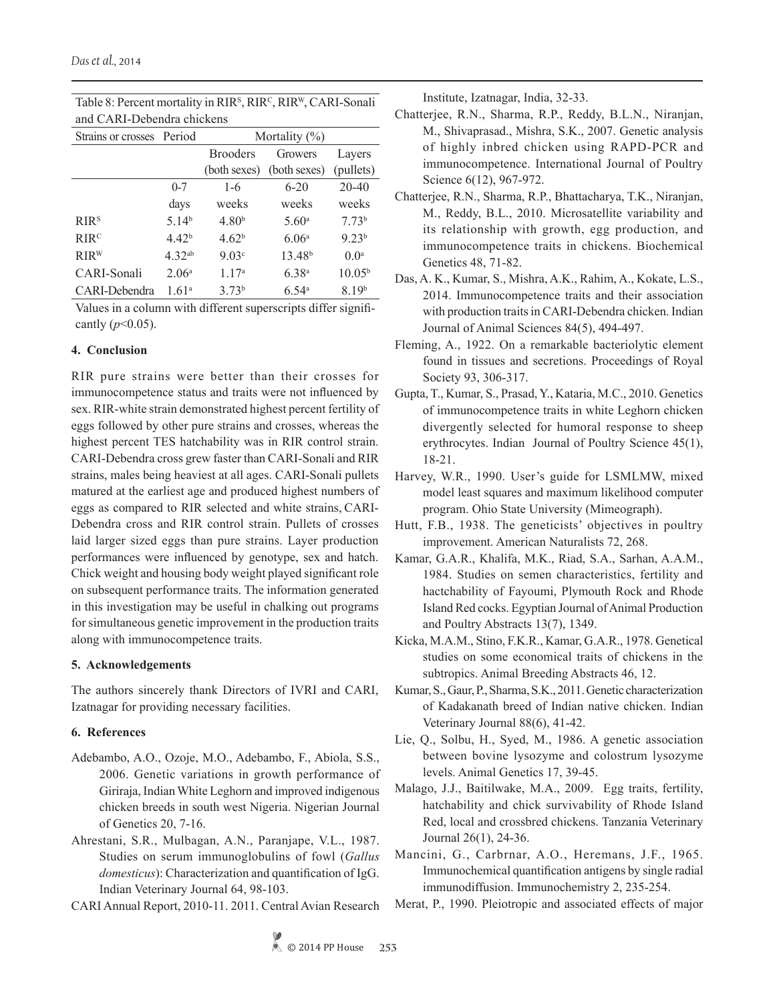| Strains or crosses Period |                   | Mortality $(\% )$ |                    |                   |  |  |
|---------------------------|-------------------|-------------------|--------------------|-------------------|--|--|
|                           |                   | <b>Brooders</b>   | Growers            | Layers            |  |  |
|                           |                   | (both sexes)      | (both sexes)       | (pullets)         |  |  |
|                           | $0 - 7$           | $1-6$             | $6 - 20$           | $20 - 40$         |  |  |
|                           | days              | weeks             | weeks              | weeks             |  |  |
| RIR <sup>S</sup>          | $5.14^{b}$        | 4.80 <sup>b</sup> | 5.60 <sup>a</sup>  | 7.73 <sup>b</sup> |  |  |
| RIR <sup>c</sup>          | 4.42 <sup>b</sup> | 4.62 <sup>b</sup> | 6.06 <sup>a</sup>  | $9.23^{b}$        |  |  |
| RIRW                      | $4.32^{ab}$       | 9.03c             | 13.48 <sup>b</sup> | 0.0 <sup>a</sup>  |  |  |
| CARI-Sonali               | 2.06 <sup>a</sup> | 1.17 <sup>a</sup> | $6.38^{a}$         | $10.05^{b}$       |  |  |
| CARI-Debendra             | 1.61 <sup>a</sup> | 3.73 <sup>b</sup> | 6.54a              | 8.19b             |  |  |

Table 8: Percent mortality in RIR<sup>s</sup>, RIR<sup>c</sup>, RIR<sup>w</sup>, CARI-Sonali and CARI-Debendra chickens

Values in a column with different superscripts differ significantly  $(p<0.05)$ .

# **4. Conclusion**

RIR pure strains were better than their crosses for immunocompetence status and traits were not influenced by sex. RIR-white strain demonstrated highest percent fertility of eggs followed by other pure strains and crosses, whereas the highest percent TES hatchability was in RIR control strain. CARI-Debendra cross grew faster than CARI-Sonali and RIR strains, males being heaviest at all ages. CARI-Sonali pullets matured at the earliest age and produced highest numbers of eggs as compared to RIR selected and white strains, CARI-Debendra cross and RIR control strain. Pullets of crosses laid larger sized eggs than pure strains. Layer production performances were influenced by genotype, sex and hatch. Chick weight and housing body weight played significant role on subsequent performance traits. The information generated in this investigation may be useful in chalking out programs for simultaneous genetic improvement in the production traits along with immunocompetence traits.

# **5. Acknowledgements**

The authors sincerely thank Directors of IVRI and CARI, Izatnagar for providing necessary facilities.

# **6. References**

- Adebambo, A.O., Ozoje, M.O., Adebambo, F., Abiola, S.S., 2006. Genetic variations in growth performance of Giriraja, Indian White Leghorn and improved indigenous chicken breeds in south west Nigeria. Nigerian Journal of Genetics 20, 7-16.
- Ahrestani, S.R., Mulbagan, A.N., Paranjape, V.L., 1987. Studies on serum immunoglobulins of fowl (*Gallus domesticus*): Characterization and quantification of IgG. Indian Veterinary Journal 64, 98-103.

CARI Annual Report, 2010-11. 2011. Central Avian Research

Institute, Izatnagar, India, 32-33.

- Chatterjee, R.N., Sharma, R.P., Reddy, B.L.N., Niranjan, M., Shivaprasad., Mishra, S.K., 2007. Genetic analysis of highly inbred chicken using RAPD-PCR and immunocompetence. International Journal of Poultry Science 6(12), 967-972.
- Chatterjee, R.N., Sharma, R.P., Bhattacharya, T.K., Niranjan, M., Reddy, B.L., 2010. Microsatellite variability and its relationship with growth, egg production, and immunocompetence traits in chickens. Biochemical Genetics 48, 71-82.
- Das, A. K., Kumar, S., Mishra, A.K., Rahim, A., Kokate, L.S., 2014. Immunocompetence traits and their association with production traits in CARI-Debendra chicken. Indian Journal of Animal Sciences 84(5), 494-497.
- Fleming, A., 1922. On a remarkable bacteriolytic element found in tissues and secretions. Proceedings of Royal Society 93, 306-317.
- Gupta, T., Kumar, S., Prasad, Y., Kataria, M.C., 2010. Genetics of immunocompetence traits in white Leghorn chicken divergently selected for humoral response to sheep erythrocytes. Indian Journal of Poultry Science 45(1), 18-21.
- Harvey, W.R., 1990. User's guide for LSMLMW, mixed model least squares and maximum likelihood computer program. Ohio State University (Mimeograph).
- Hutt, F.B., 1938. The geneticists' objectives in poultry improvement. American Naturalists 72, 268.
- Kamar, G.A.R., Khalifa, M.K., Riad, S.A., Sarhan, A.A.M., 1984. Studies on semen characteristics, fertility and hactchability of Fayoumi, Plymouth Rock and Rhode Island Red cocks. Egyptian Journal of Animal Production and Poultry Abstracts 13(7), 1349.
- Kicka, M.A.M., Stino, F.K.R., Kamar, G.A.R., 1978. Genetical studies on some economical traits of chickens in the subtropics. Animal Breeding Abstracts 46, 12.
- Kumar, S., Gaur, P., Sharma, S.K., 2011. Genetic characterization of Kadakanath breed of Indian native chicken. Indian Veterinary Journal 88(6), 41-42.
- Lie, Q., Solbu, H., Syed, M., 1986. A genetic association between bovine lysozyme and colostrum lysozyme levels. Animal Genetics 17, 39-45.
- Malago, J.J., Baitilwake, M.A., 2009. Egg traits, fertility, hatchability and chick survivability of Rhode Island Red, local and crossbred chickens. Tanzania Veterinary Journal 26(1), 24-36.
- Mancini, G., Carbrnar, A.O., Heremans, J.F., 1965. Immunochemical quantification antigens by single radial immunodiffusion. Immunochemistry 2, 235-254.
- Merat, P., 1990. Pleiotropic and associated effects of major